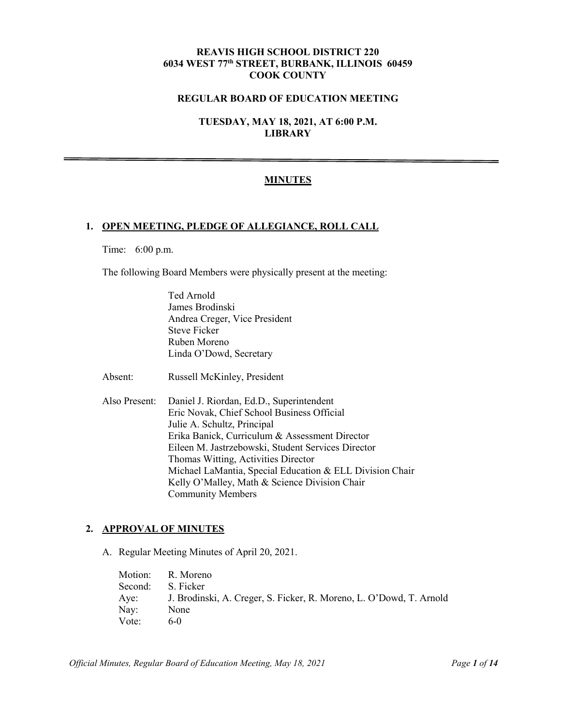# **REAVIS HIGH SCHOOL DISTRICT 220 6034 WEST 77th STREET, BURBANK, ILLINOIS 60459 COOK COUNTY**

# **REGULAR BOARD OF EDUCATION MEETING**

**TUESDAY, MAY 18, 2021, AT 6:00 P.M. LIBRARY**

## **MINUTES**

#### **1. OPEN MEETING, PLEDGE OF ALLEGIANCE, ROLL CALL**

Time: 6:00 p.m.

The following Board Members were physically present at the meeting:

Ted Arnold James Brodinski Andrea Creger, Vice President Steve Ficker Ruben Moreno Linda O'Dowd, Secretary

Absent: Russell McKinley, President

Also Present: Daniel J. Riordan, Ed.D., Superintendent Eric Novak, Chief School Business Official Julie A. Schultz, Principal Erika Banick, Curriculum & Assessment Director Eileen M. Jastrzebowski, Student Services Director Thomas Witting, Activities Director Michael LaMantia, Special Education & ELL Division Chair Kelly O'Malley, Math & Science Division Chair Community Members

# **2. APPROVAL OF MINUTES**

A. Regular Meeting Minutes of April 20, 2021.

|         | Motion: R. Moreno                                                   |
|---------|---------------------------------------------------------------------|
| Second: | S. Ficker                                                           |
| Aye:    | J. Brodinski, A. Creger, S. Ficker, R. Moreno, L. O'Dowd, T. Arnold |
| Nay:    | None                                                                |
| Vote:   | 6-0                                                                 |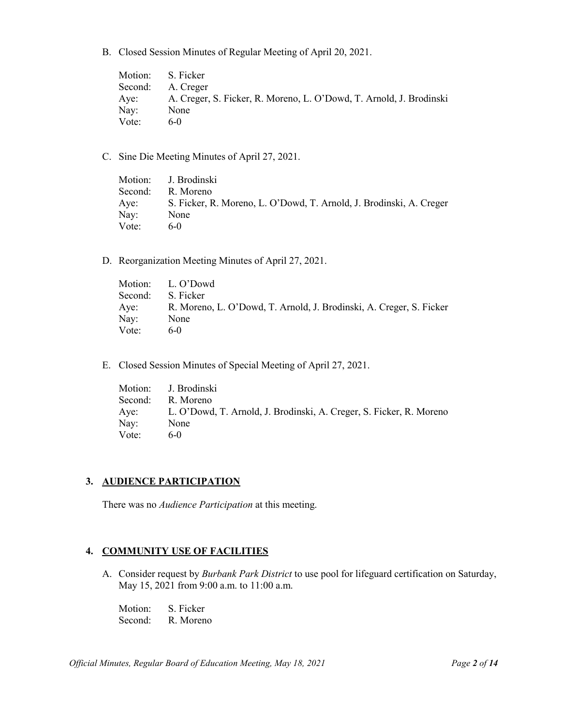B. Closed Session Minutes of Regular Meeting of April 20, 2021.

|       | Motion: S. Ficker                                                   |
|-------|---------------------------------------------------------------------|
|       | Second: A. Creger                                                   |
| Aye:  | A. Creger, S. Ficker, R. Moreno, L. O'Dowd, T. Arnold, J. Brodinski |
| Nay:  | None                                                                |
| Vote: | 6- $()$                                                             |

C. Sine Die Meeting Minutes of April 27, 2021.

|       | Motion: J. Brodinski                                                |
|-------|---------------------------------------------------------------------|
|       | Second: R. Moreno                                                   |
| Aye:  | S. Ficker, R. Moreno, L. O'Dowd, T. Arnold, J. Brodinski, A. Creger |
| Nay:  | None                                                                |
| Vote: | 6-0                                                                 |

D. Reorganization Meeting Minutes of April 27, 2021.

|         | Motion: L. O'Dowd                                                   |
|---------|---------------------------------------------------------------------|
| Second: | S. Ficker                                                           |
| Aye:    | R. Moreno, L. O'Dowd, T. Arnold, J. Brodinski, A. Creger, S. Ficker |
| Nay:    | None                                                                |
| Vote:   | $6-0$                                                               |

E. Closed Session Minutes of Special Meeting of April 27, 2021.

|         | Motion: J. Brodinski                                                |
|---------|---------------------------------------------------------------------|
| Second: | R. Moreno                                                           |
| Aye:    | L. O'Dowd, T. Arnold, J. Brodinski, A. Creger, S. Ficker, R. Moreno |
| Nay:    | None                                                                |
| Vote:   | $6-0$                                                               |

## **3. AUDIENCE PARTICIPATION**

There was no *Audience Participation* at this meeting.

## **4. COMMUNITY USE OF FACILITIES**

A. Consider request by *Burbank Park District* to use pool for lifeguard certification on Saturday, May 15, 2021 from 9:00 a.m. to 11:00 a.m.

Motion: S. Ficker Second: R. Moreno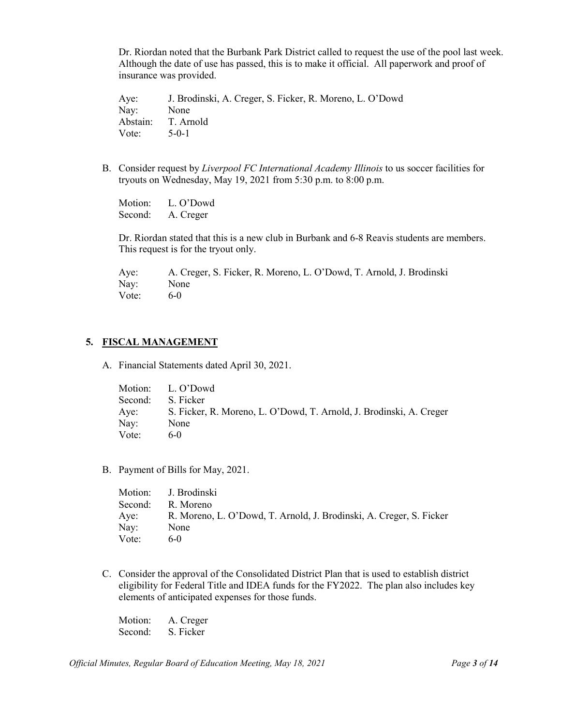Dr. Riordan noted that the Burbank Park District called to request the use of the pool last week. Although the date of use has passed, this is to make it official. All paperwork and proof of insurance was provided.

Aye: J. Brodinski, A. Creger, S. Ficker, R. Moreno, L. O'Dowd Nay: None Abstain: T. Arnold Vote: 5-0-1

B. Consider request by *Liverpool FC International Academy Illinois* to us soccer facilities for tryouts on Wednesday, May 19, 2021 from 5:30 p.m. to 8:00 p.m.

Motion: L. O'Dowd Second: A. Creger

Dr. Riordan stated that this is a new club in Burbank and 6-8 Reavis students are members. This request is for the tryout only.

Aye: A. Creger, S. Ficker, R. Moreno, L. O'Dowd, T. Arnold, J. Brodinski Nay: None Vote:  $6-0$ 

#### **5. FISCAL MANAGEMENT**

A. Financial Statements dated April 30, 2021.

|         | Motion: L. O'Dowd                                                   |
|---------|---------------------------------------------------------------------|
| Second: | S. Ficker                                                           |
| Aye:    | S. Ficker, R. Moreno, L. O'Dowd, T. Arnold, J. Brodinski, A. Creger |
| Nay:    | None                                                                |
| Vote:   | $6-0$                                                               |

B. Payment of Bills for May, 2021.

|       | Motion: J. Brodinski                                                |
|-------|---------------------------------------------------------------------|
|       | Second: R. Moreno                                                   |
| Aye:  | R. Moreno, L. O'Dowd, T. Arnold, J. Brodinski, A. Creger, S. Ficker |
| Nay:  | None                                                                |
| Vote: | $6-0$                                                               |

C. Consider the approval of the Consolidated District Plan that is used to establish district eligibility for Federal Title and IDEA funds for the FY2022. The plan also includes key elements of anticipated expenses for those funds.

Motion: A. Creger Second: S. Ficker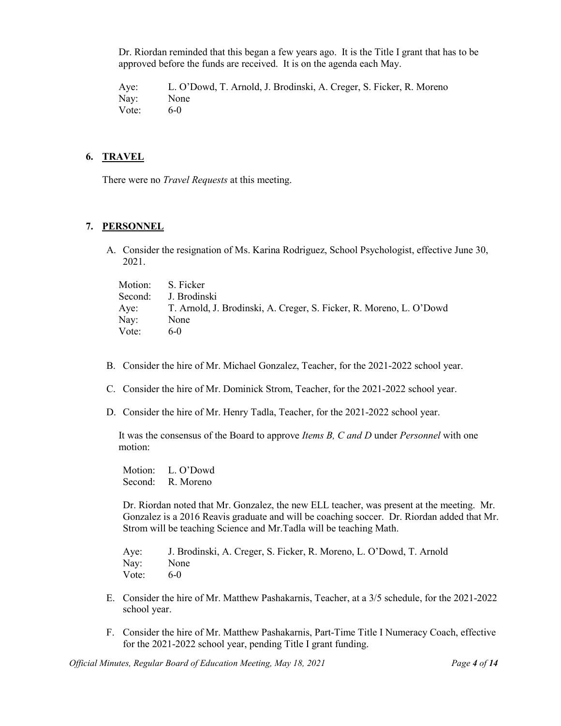Dr. Riordan reminded that this began a few years ago. It is the Title I grant that has to be approved before the funds are received. It is on the agenda each May.

Aye: L. O'Dowd, T. Arnold, J. Brodinski, A. Creger, S. Ficker, R. Moreno Nay: None Vote: 6-0

#### **6. TRAVEL**

There were no *Travel Requests* at this meeting.

# **7. PERSONNEL**

A. Consider the resignation of Ms. Karina Rodriguez, School Psychologist, effective June 30, 2021.

| Motion: S. Ficker |                                                                     |
|-------------------|---------------------------------------------------------------------|
|                   | Second: J. Brodinski                                                |
| Aye:              | T. Arnold, J. Brodinski, A. Creger, S. Ficker, R. Moreno, L. O'Dowd |
| Nay:              | None                                                                |
| Vote:             | 6-0                                                                 |

- B. Consider the hire of Mr. Michael Gonzalez, Teacher, for the 2021-2022 school year.
- C. Consider the hire of Mr. Dominick Strom, Teacher, for the 2021-2022 school year.
- D. Consider the hire of Mr. Henry Tadla, Teacher, for the 2021-2022 school year.

It was the consensus of the Board to approve *Items B, C and D* under *Personnel* with one motion:

Motion: L. O'Dowd Second: R. Moreno

Dr. Riordan noted that Mr. Gonzalez, the new ELL teacher, was present at the meeting. Mr. Gonzalez is a 2016 Reavis graduate and will be coaching soccer. Dr. Riordan added that Mr. Strom will be teaching Science and Mr.Tadla will be teaching Math.

Aye: J. Brodinski, A. Creger, S. Ficker, R. Moreno, L. O'Dowd, T. Arnold Nay: None Vote: 6-0

- E. Consider the hire of Mr. Matthew Pashakarnis, Teacher, at a 3/5 schedule, for the 2021-2022 school year.
- F. Consider the hire of Mr. Matthew Pashakarnis, Part-Time Title I Numeracy Coach, effective for the 2021-2022 school year, pending Title I grant funding.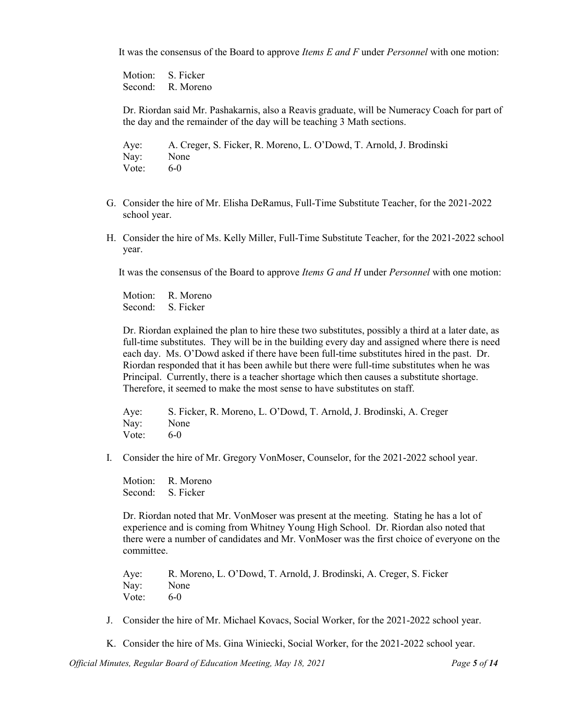It was the consensus of the Board to approve *Items E and F* under *Personnel* with one motion:

Motion: S. Ficker Second: R. Moreno

Dr. Riordan said Mr. Pashakarnis, also a Reavis graduate, will be Numeracy Coach for part of the day and the remainder of the day will be teaching 3 Math sections.

Aye: A. Creger, S. Ficker, R. Moreno, L. O'Dowd, T. Arnold, J. Brodinski Nay: None Vote: 6-0

- G. Consider the hire of Mr. Elisha DeRamus, Full-Time Substitute Teacher, for the 2021-2022 school year.
- H. Consider the hire of Ms. Kelly Miller, Full-Time Substitute Teacher, for the 2021-2022 school year.

It was the consensus of the Board to approve *Items G and H* under *Personnel* with one motion:

Motion: R. Moreno Second: S. Ficker

Dr. Riordan explained the plan to hire these two substitutes, possibly a third at a later date, as full-time substitutes. They will be in the building every day and assigned where there is need each day. Ms. O'Dowd asked if there have been full-time substitutes hired in the past. Dr. Riordan responded that it has been awhile but there were full-time substitutes when he was Principal. Currently, there is a teacher shortage which then causes a substitute shortage. Therefore, it seemed to make the most sense to have substitutes on staff.

Aye: S. Ficker, R. Moreno, L. O'Dowd, T. Arnold, J. Brodinski, A. Creger Nay: None Vote: 6-0

I. Consider the hire of Mr. Gregory VonMoser, Counselor, for the 2021-2022 school year.

Motion: R. Moreno Second: S. Ficker

Dr. Riordan noted that Mr. VonMoser was present at the meeting. Stating he has a lot of experience and is coming from Whitney Young High School. Dr. Riordan also noted that there were a number of candidates and Mr. VonMoser was the first choice of everyone on the committee.

Aye: R. Moreno, L. O'Dowd, T. Arnold, J. Brodinski, A. Creger, S. Ficker Nay: None<br>Vote: 6-0 Vote:

J. Consider the hire of Mr. Michael Kovacs, Social Worker, for the 2021-2022 school year.

K. Consider the hire of Ms. Gina Winiecki, Social Worker, for the 2021-2022 school year.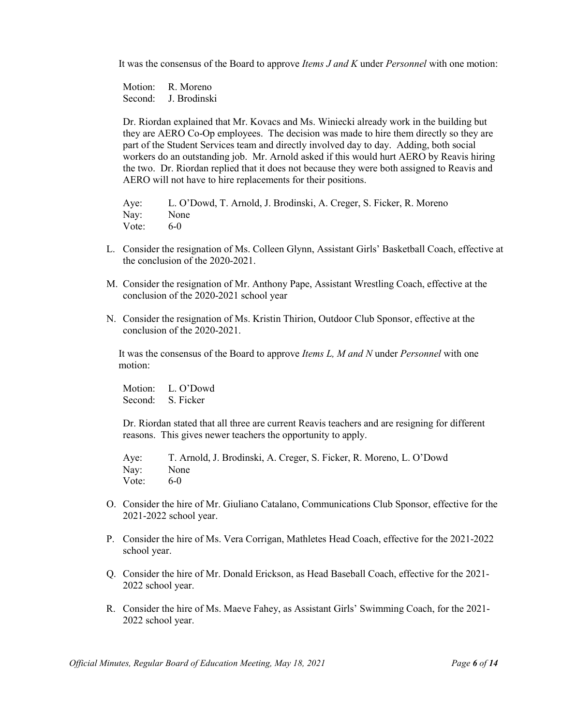It was the consensus of the Board to approve *Items J and K* under *Personnel* with one motion:

Motion: R. Moreno Second: J. Brodinski

Dr. Riordan explained that Mr. Kovacs and Ms. Winiecki already work in the building but they are AERO Co-Op employees. The decision was made to hire them directly so they are part of the Student Services team and directly involved day to day. Adding, both social workers do an outstanding job. Mr. Arnold asked if this would hurt AERO by Reavis hiring the two. Dr. Riordan replied that it does not because they were both assigned to Reavis and AERO will not have to hire replacements for their positions.

Aye: L. O'Dowd, T. Arnold, J. Brodinski, A. Creger, S. Ficker, R. Moreno Nay: None Vote: 6-0

- L. Consider the resignation of Ms. Colleen Glynn, Assistant Girls' Basketball Coach, effective at the conclusion of the 2020-2021.
- M. Consider the resignation of Mr. Anthony Pape, Assistant Wrestling Coach, effective at the conclusion of the 2020-2021 school year
- N. Consider the resignation of Ms. Kristin Thirion, Outdoor Club Sponsor, effective at the conclusion of the 2020-2021.

It was the consensus of the Board to approve *Items L, M and N* under *Personnel* with one motion:

Motion: L. O'Dowd Second: S. Ficker

Dr. Riordan stated that all three are current Reavis teachers and are resigning for different reasons. This gives newer teachers the opportunity to apply.

Aye: T. Arnold, J. Brodinski, A. Creger, S. Ficker, R. Moreno, L. O'Dowd Nay: None Vote:  $6-0$ 

- O. Consider the hire of Mr. Giuliano Catalano, Communications Club Sponsor, effective for the 2021-2022 school year.
- P. Consider the hire of Ms. Vera Corrigan, Mathletes Head Coach, effective for the 2021-2022 school year.
- Q. Consider the hire of Mr. Donald Erickson, as Head Baseball Coach, effective for the 2021- 2022 school year.
- R. Consider the hire of Ms. Maeve Fahey, as Assistant Girls' Swimming Coach, for the 2021- 2022 school year.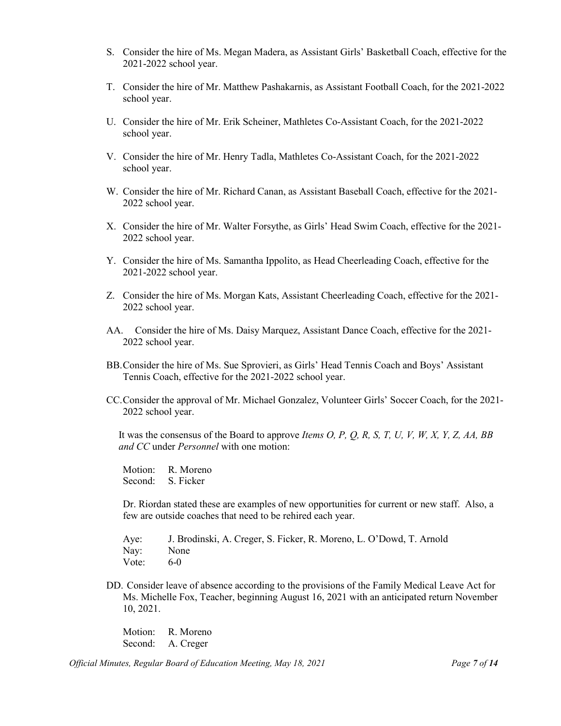- S. Consider the hire of Ms. Megan Madera, as Assistant Girls' Basketball Coach, effective for the 2021-2022 school year.
- T. Consider the hire of Mr. Matthew Pashakarnis, as Assistant Football Coach, for the 2021-2022 school year.
- U. Consider the hire of Mr. Erik Scheiner, Mathletes Co-Assistant Coach, for the 2021-2022 school year.
- V. Consider the hire of Mr. Henry Tadla, Mathletes Co-Assistant Coach, for the 2021-2022 school year.
- W. Consider the hire of Mr. Richard Canan, as Assistant Baseball Coach, effective for the 2021- 2022 school year.
- X. Consider the hire of Mr. Walter Forsythe, as Girls' Head Swim Coach, effective for the 2021- 2022 school year.
- Y. Consider the hire of Ms. Samantha Ippolito, as Head Cheerleading Coach, effective for the 2021-2022 school year.
- Z. Consider the hire of Ms. Morgan Kats, Assistant Cheerleading Coach, effective for the 2021- 2022 school year.
- AA. Consider the hire of Ms. Daisy Marquez, Assistant Dance Coach, effective for the 2021- 2022 school year.
- BB.Consider the hire of Ms. Sue Sprovieri, as Girls' Head Tennis Coach and Boys' Assistant Tennis Coach, effective for the 2021-2022 school year.
- CC.Consider the approval of Mr. Michael Gonzalez, Volunteer Girls' Soccer Coach, for the 2021- 2022 school year.

It was the consensus of the Board to approve *Items O, P, Q, R, S, T, U, V, W, X, Y, Z, AA, BB and CC* under *Personnel* with one motion:

Motion: R. Moreno Second: S. Ficker

Dr. Riordan stated these are examples of new opportunities for current or new staff. Also, a few are outside coaches that need to be rehired each year.

- Aye: J. Brodinski, A. Creger, S. Ficker, R. Moreno, L. O'Dowd, T. Arnold Nay: None Vote: 6-0
- DD. Consider leave of absence according to the provisions of the Family Medical Leave Act for Ms. Michelle Fox, Teacher, beginning August 16, 2021 with an anticipated return November 10, 2021.

Motion: R. Moreno Second: A. Creger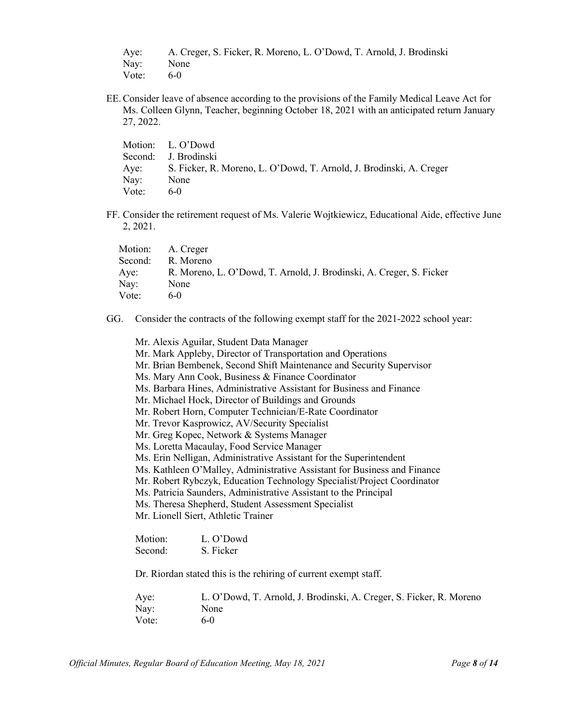|           | Aye: A. Creger, S. Ficker, R. Moreno, L. O'Dowd, T. Arnold, J. Brodinski |
|-----------|--------------------------------------------------------------------------|
| Nay: None |                                                                          |
| Vote:     | $6-0$                                                                    |

EE.Consider leave of absence according to the provisions of the Family Medical Leave Act for Ms. Colleen Glynn, Teacher, beginning October 18, 2021 with an anticipated return January 27, 2022.

|       | Motion: L. O'Dowd                                                        |
|-------|--------------------------------------------------------------------------|
|       | Second: J. Brodinski                                                     |
|       | Aye: S. Ficker, R. Moreno, L. O'Dowd, T. Arnold, J. Brodinski, A. Creger |
| Nay:  | None                                                                     |
| Vote: | $6-0$                                                                    |

FF. Consider the retirement request of Ms. Valerie Wojtkiewicz, Educational Aide, effective June 2, 2021.

|         | Motion: A. Creger                                                   |
|---------|---------------------------------------------------------------------|
| Second: | R. Moreno                                                           |
| Aye:    | R. Moreno, L. O'Dowd, T. Arnold, J. Brodinski, A. Creger, S. Ficker |
| Nay:    | None                                                                |
| Vote:   | $6-0$                                                               |

GG. Consider the contracts of the following exempt staff for the 2021-2022 school year:

|                                                                         | Mr. Alexis Aguilar, Student Data Manager                                 |  |  |
|-------------------------------------------------------------------------|--------------------------------------------------------------------------|--|--|
|                                                                         | Mr. Mark Appleby, Director of Transportation and Operations              |  |  |
|                                                                         | Mr. Brian Bembenek, Second Shift Maintenance and Security Supervisor     |  |  |
|                                                                         | Ms. Mary Ann Cook, Business & Finance Coordinator                        |  |  |
|                                                                         | Ms. Barbara Hines, Administrative Assistant for Business and Finance     |  |  |
|                                                                         | Mr. Michael Hock, Director of Buildings and Grounds                      |  |  |
|                                                                         | Mr. Robert Horn, Computer Technician/E-Rate Coordinator                  |  |  |
|                                                                         | Mr. Trevor Kasprowicz, AV/Security Specialist                            |  |  |
|                                                                         | Mr. Greg Kopec, Network & Systems Manager                                |  |  |
|                                                                         | Ms. Loretta Macaulay, Food Service Manager                               |  |  |
|                                                                         | Ms. Erin Nelligan, Administrative Assistant for the Superintendent       |  |  |
|                                                                         | Ms. Kathleen O'Malley, Administrative Assistant for Business and Finance |  |  |
| Mr. Robert Rybczyk, Education Technology Specialist/Project Coordinator |                                                                          |  |  |
|                                                                         | Ms. Patricia Saunders, Administrative Assistant to the Principal         |  |  |
|                                                                         | Ms. Theresa Shepherd, Student Assessment Specialist                      |  |  |
|                                                                         | Mr. Lionell Siert, Athletic Trainer                                      |  |  |
|                                                                         |                                                                          |  |  |
| Motion:                                                                 | L. O'Dowd                                                                |  |  |
| Second:                                                                 | S. Ficker                                                                |  |  |
|                                                                         | Dr. Riordan stated this is the rehiring of current exempt staff.         |  |  |

| Aye:  | L. O'Dowd, T. Arnold, J. Brodinski, A. Creger, S. Ficker, R. Moreno |
|-------|---------------------------------------------------------------------|
| Nay:  | None                                                                |
| Vote: | 6- $()$                                                             |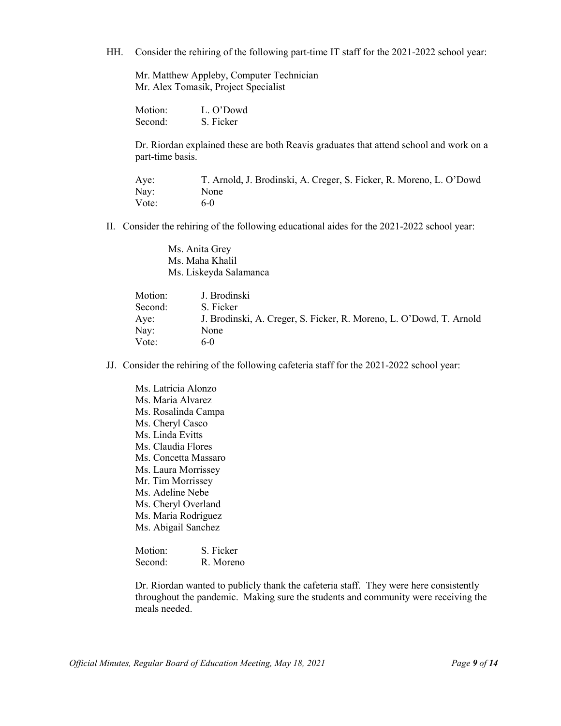HH. Consider the rehiring of the following part-time IT staff for the 2021-2022 school year:

Mr. Matthew Appleby, Computer Technician Mr. Alex Tomasik, Project Specialist

Motion: L. O'Dowd Second: S. Ficker

Dr. Riordan explained these are both Reavis graduates that attend school and work on a part-time basis.

Aye: T. Arnold, J. Brodinski, A. Creger, S. Ficker, R. Moreno, L. O'Dowd Nay: None Vote: 6-0

II. Consider the rehiring of the following educational aides for the 2021-2022 school year:

Ms. Anita Grey Ms. Maha Khalil Ms. Liskeyda Salamanca

| Motion: | J. Brodinski                                                        |
|---------|---------------------------------------------------------------------|
| Second: | S. Ficker                                                           |
| Aye:    | J. Brodinski, A. Creger, S. Ficker, R. Moreno, L. O'Dowd, T. Arnold |
| Nay:    | None                                                                |
| Vote:   | $6-0$                                                               |
|         |                                                                     |

JJ. Consider the rehiring of the following cafeteria staff for the 2021-2022 school year:

Ms. Latricia Alonzo Ms. Maria Alvarez Ms. Rosalinda Campa Ms. Cheryl Casco Ms. Linda Evitts Ms. Claudia Flores Ms. Concetta Massaro Ms. Laura Morrissey Mr. Tim Morrissey Ms. Adeline Nebe Ms. Cheryl Overland Ms. Maria Rodriguez Ms. Abigail Sanchez

Motion: S. Ficker Second: R. Moreno

Dr. Riordan wanted to publicly thank the cafeteria staff. They were here consistently throughout the pandemic. Making sure the students and community were receiving the meals needed.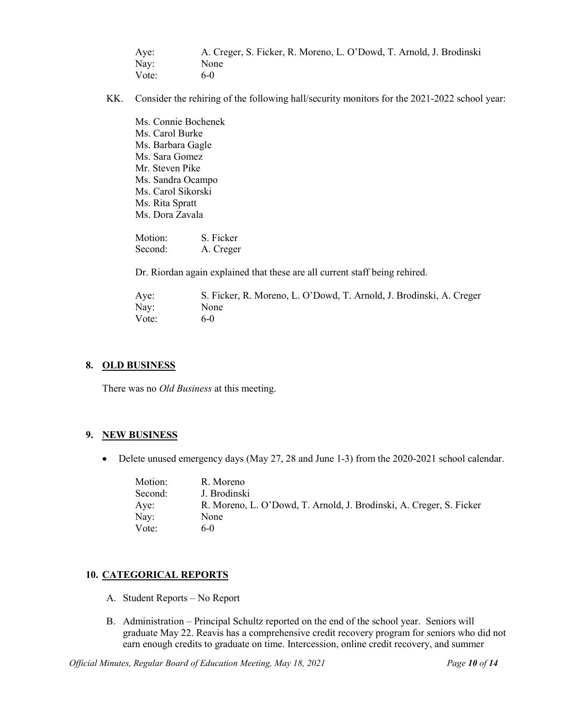| Aye:  | A. Creger, S. Ficker, R. Moreno, L. O'Dowd, T. Arnold, J. Brodinski |
|-------|---------------------------------------------------------------------|
| Nay:  | None                                                                |
| Vote: | $6-0$                                                               |

- KK. Consider the rehiring of the following hall/security monitors for the 2021-2022 school year:
	- Ms. Connie Bochenek Ms. Carol Burke Ms. Barbara Gagle Ms. Sara Gomez Mr. Steven Pike Ms. Sandra Ocampo Ms. Carol Sikorski Ms. Rita Spratt Ms. Dora Zavala

Motion: S. Ficker<br>Second: A. Creger A. Creger

Dr. Riordan again explained that these are all current staff being rehired.

| Aye:  | S. Ficker, R. Moreno, L. O'Dowd, T. Arnold, J. Brodinski, A. Creger |
|-------|---------------------------------------------------------------------|
| Nay:  | None                                                                |
| Vote: | $6-0$                                                               |

# **8. OLD BUSINESS**

There was no *Old Business* at this meeting.

## **9. NEW BUSINESS**

• Delete unused emergency days (May 27, 28 and June 1-3) from the 2020-2021 school calendar.

| Motion: | R. Moreno                                                           |
|---------|---------------------------------------------------------------------|
| Second: | J. Brodinski                                                        |
| Aye:    | R. Moreno, L. O'Dowd, T. Arnold, J. Brodinski, A. Creger, S. Ficker |
| Nay:    | None                                                                |
| Vote:   | $6-0$                                                               |

# **10. CATEGORICAL REPORTS**

- A. Student Reports No Report
- B. Administration Principal Schultz reported on the end of the school year. Seniors will graduate May 22. Reavis has a comprehensive credit recovery program for seniors who did not earn enough credits to graduate on time. Intercession, online credit recovery, and summer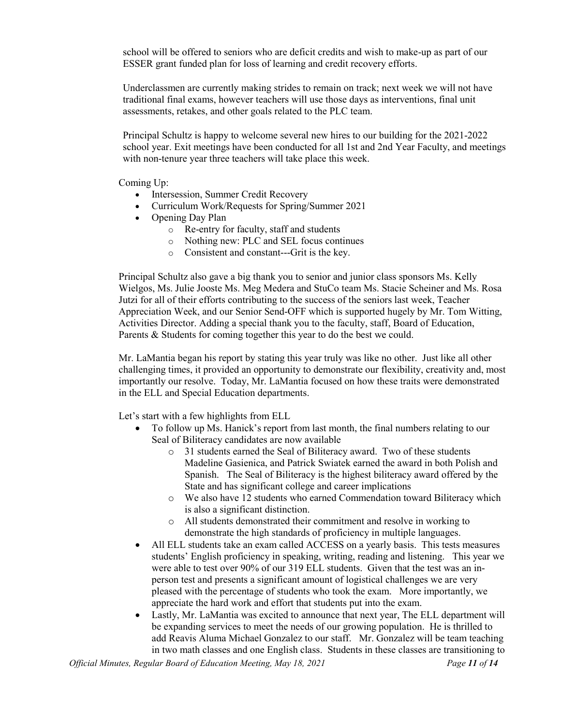school will be offered to seniors who are deficit credits and wish to make-up as part of our ESSER grant funded plan for loss of learning and credit recovery efforts.

Underclassmen are currently making strides to remain on track; next week we will not have traditional final exams, however teachers will use those days as interventions, final unit assessments, retakes, and other goals related to the PLC team.

Principal Schultz is happy to welcome several new hires to our building for the 2021-2022 school year. Exit meetings have been conducted for all 1st and 2nd Year Faculty, and meetings with non-tenure year three teachers will take place this week.

Coming Up:

- Intersession, Summer Credit Recovery
- Curriculum Work/Requests for Spring/Summer 2021
- Opening Day Plan
	- o Re-entry for faculty, staff and students
	- o Nothing new: PLC and SEL focus continues
	- o Consistent and constant---Grit is the key.

Principal Schultz also gave a big thank you to senior and junior class sponsors Ms. Kelly Wielgos, Ms. [Julie Jooste](mailto:jjooste@reavisd220.org) Ms. Meg Medera and StuCo team Ms. [Stacie Scheiner](mailto:sscheiner@reavisd220.org) and Ms. Rosa Jutzi for all of their efforts contributing to the success of the seniors last week, Teacher Appreciation Week, and our Senior Send-OFF which is supported hugely by Mr. Tom Witting, Activities Director. Adding a special thank you to the faculty, staff, Board of Education, Parents & Students for coming together this year to do the best we could.

Mr. LaMantia began his report by stating this year truly was like no other. Just like all other challenging times, it provided an opportunity to demonstrate our flexibility, creativity and, most importantly our resolve. Today, Mr. LaMantia focused on how these traits were demonstrated in the ELL and Special Education departments.

Let's start with a few highlights from ELL

- To follow up Ms. Hanick's report from last month, the final numbers relating to our Seal of Biliteracy candidates are now available
	- o 31 students earned the Seal of Biliteracy award. Two of these students Madeline Gasienica, and Patrick Swiatek earned the award in both Polish and Spanish. The Seal of Biliteracy is the highest biliteracy award offered by the State and has significant college and career implications
	- o We also have 12 students who earned Commendation toward Biliteracy which is also a significant distinction.
	- o All students demonstrated their commitment and resolve in working to demonstrate the high standards of proficiency in multiple languages.
- All ELL students take an exam called ACCESS on a yearly basis. This tests measures students' English proficiency in speaking, writing, reading and listening. This year we were able to test over 90% of our 319 ELL students. Given that the test was an inperson test and presents a significant amount of logistical challenges we are very pleased with the percentage of students who took the exam. More importantly, we appreciate the hard work and effort that students put into the exam.
- Lastly, Mr. LaMantia was excited to announce that next year, The ELL department will be expanding services to meet the needs of our growing population. He is thrilled to add Reavis Aluma Michael Gonzalez to our staff. Mr. Gonzalez will be team teaching in two math classes and one English class. Students in these classes are transitioning to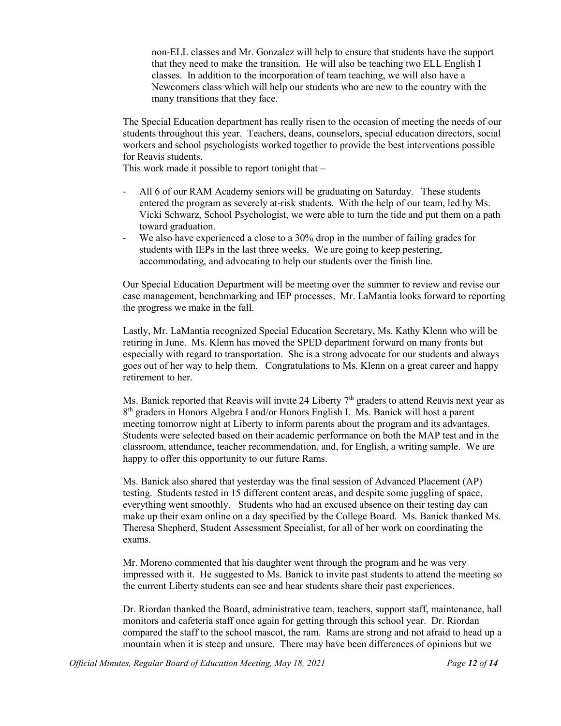non-ELL classes and Mr. Gonzalez will help to ensure that students have the support that they need to make the transition. He will also be teaching two ELL English I classes. In addition to the incorporation of team teaching, we will also have a Newcomers class which will help our students who are new to the country with the many transitions that they face.

The Special Education department has really risen to the occasion of meeting the needs of our students throughout this year. Teachers, deans, counselors, special education directors, social workers and school psychologists worked together to provide the best interventions possible for Reavis students.

This work made it possible to report tonight that  $-$ 

- All 6 of our RAM Academy seniors will be graduating on Saturday. These students entered the program as severely at-risk students. With the help of our team, led by Ms. Vicki Schwarz, School Psychologist, we were able to turn the tide and put them on a path toward graduation.
- We also have experienced a close to a 30% drop in the number of failing grades for students with IEPs in the last three weeks. We are going to keep pestering, accommodating, and advocating to help our students over the finish line.

Our Special Education Department will be meeting over the summer to review and revise our case management, benchmarking and IEP processes. Mr. LaMantia looks forward to reporting the progress we make in the fall.

Lastly, Mr. LaMantia recognized Special Education Secretary, Ms. Kathy Klenn who will be retiring in June. Ms. Klenn has moved the SPED department forward on many fronts but especially with regard to transportation. She is a strong advocate for our students and always goes out of her way to help them. Congratulations to Ms. Klenn on a great career and happy retirement to her.

Ms. Banick reported that Reavis will invite 24 Liberty  $7<sup>th</sup>$  graders to attend Reavis next year as 8th graders in Honors Algebra I and/or Honors English I. Ms. Banick will host a parent meeting tomorrow night at Liberty to inform parents about the program and its advantages. Students were selected based on their academic performance on both the MAP test and in the classroom, attendance, teacher recommendation, and, for English, a writing sample. We are happy to offer this opportunity to our future Rams.

Ms. Banick also shared that yesterday was the final session of Advanced Placement (AP) testing. Students tested in 15 different content areas, and despite some juggling of space, everything went smoothly. Students who had an excused absence on their testing day can make up their exam online on a day specified by the College Board. Ms. Banick thanked Ms. Theresa Shepherd, Student Assessment Specialist, for all of her work on coordinating the exams.

Mr. Moreno commented that his daughter went through the program and he was very impressed with it. He suggested to Ms. Banick to invite past students to attend the meeting so the current Liberty students can see and hear students share their past experiences.

Dr. Riordan thanked the Board, administrative team, teachers, support staff, maintenance, hall monitors and cafeteria staff once again for getting through this school year. Dr. Riordan compared the staff to the school mascot, the ram. Rams are strong and not afraid to head up a mountain when it is steep and unsure. There may have been differences of opinions but we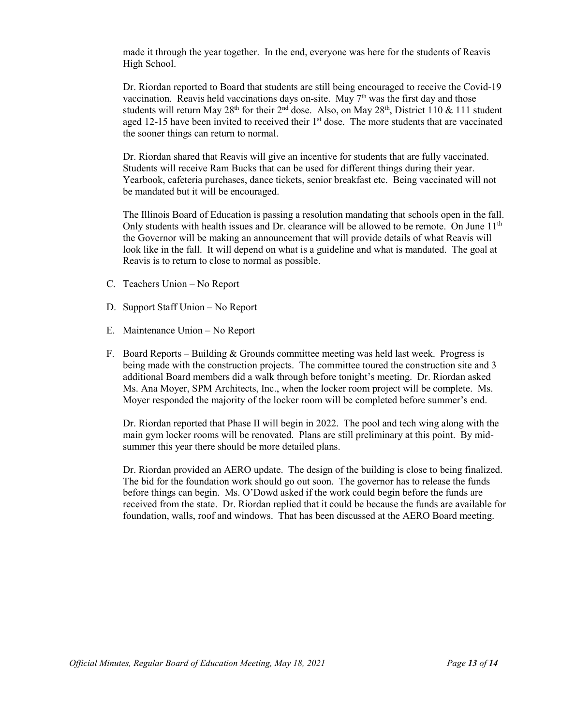made it through the year together. In the end, everyone was here for the students of Reavis High School.

Dr. Riordan reported to Board that students are still being encouraged to receive the Covid-19 vaccination. Reavis held vaccinations days on-site. May  $7<sup>th</sup>$  was the first day and those students will return May 28<sup>th</sup> for their 2<sup>nd</sup> dose. Also, on May 28<sup>th</sup>, District 110 & 111 student aged 12-15 have been invited to received their  $1<sup>st</sup>$  dose. The more students that are vaccinated the sooner things can return to normal.

Dr. Riordan shared that Reavis will give an incentive for students that are fully vaccinated. Students will receive Ram Bucks that can be used for different things during their year. Yearbook, cafeteria purchases, dance tickets, senior breakfast etc. Being vaccinated will not be mandated but it will be encouraged.

The Illinois Board of Education is passing a resolution mandating that schools open in the fall. Only students with health issues and Dr. clearance will be allowed to be remote. On June  $11<sup>th</sup>$ the Governor will be making an announcement that will provide details of what Reavis will look like in the fall. It will depend on what is a guideline and what is mandated. The goal at Reavis is to return to close to normal as possible.

- C. Teachers Union No Report
- D. Support Staff Union No Report
- E. Maintenance Union No Report
- F. Board Reports Building & Grounds committee meeting was held last week. Progress is being made with the construction projects. The committee toured the construction site and 3 additional Board members did a walk through before tonight's meeting. Dr. Riordan asked Ms. Ana Moyer, SPM Architects, Inc., when the locker room project will be complete. Ms. Moyer responded the majority of the locker room will be completed before summer's end.

Dr. Riordan reported that Phase II will begin in 2022. The pool and tech wing along with the main gym locker rooms will be renovated. Plans are still preliminary at this point. By midsummer this year there should be more detailed plans.

Dr. Riordan provided an AERO update. The design of the building is close to being finalized. The bid for the foundation work should go out soon. The governor has to release the funds before things can begin. Ms. O'Dowd asked if the work could begin before the funds are received from the state. Dr. Riordan replied that it could be because the funds are available for foundation, walls, roof and windows. That has been discussed at the AERO Board meeting.